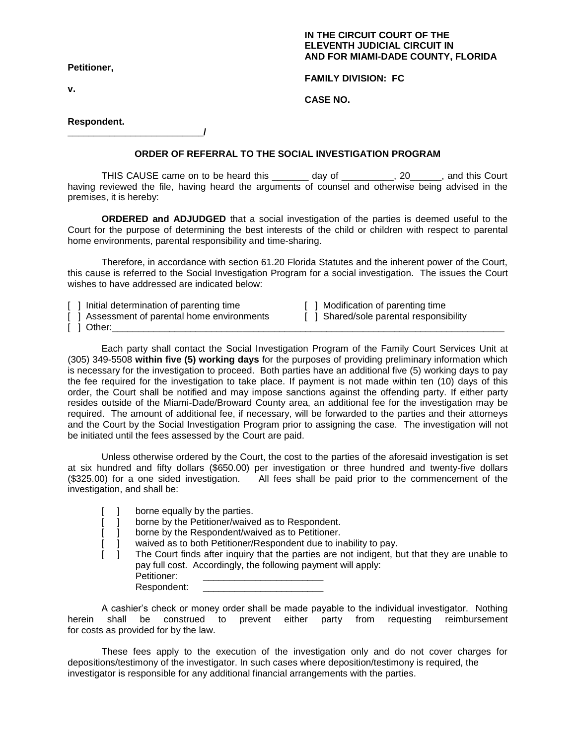## **IN THE CIRCUIT COURT OF THE ELEVENTH JUDICIAL CIRCUIT IN AND FOR MIAMI-DADE COUNTY, FLORIDA**

**Petitioner,**

**v.** 

**FAMILY DIVISION: FC**

**CASE NO.** 

## **Respondent.**

**\_\_\_\_\_\_\_\_\_\_\_\_\_\_\_\_\_\_\_\_\_\_\_\_\_\_/**

## **ORDER OF REFERRAL TO THE SOCIAL INVESTIGATION PROGRAM**

THIS CAUSE came on to be heard this \_\_\_\_\_\_\_ day of \_\_\_\_\_\_\_\_\_, 20\_\_\_\_\_, and this Court having reviewed the file, having heard the arguments of counsel and otherwise being advised in the premises, it is hereby:

**ORDERED and ADJUDGED** that a social investigation of the parties is deemed useful to the Court for the purpose of determining the best interests of the child or children with respect to parental home environments, parental responsibility and time-sharing.

Therefore, in accordance with section 61.20 Florida Statutes and the inherent power of the Court, this cause is referred to the Social Investigation Program for a social investigation. The issues the Court wishes to have addressed are indicated below:

[ ] Initial determination of parenting time [ ] Modification of parenting time [ ] Assessment of parental home environments [ ] Shared/sole parental responsibility [ ] Assessment of parental home environments  $\lceil$   $\lceil$   $\lceil$   $\lceil$   $\lceil$   $\lceil$   $\lceil$   $\lceil$   $\lceil$   $\lceil$   $\lceil$   $\lceil$   $\lceil$   $\lceil$   $\lceil$   $\lceil$   $\lceil$   $\lceil$   $\lceil$   $\lceil$   $\lceil$   $\lceil$   $\lceil$   $\lceil$   $\lceil$   $\lceil$   $\lceil$   $\lceil$   $\lceil$   $\lceil$   $\lceil$   $\lceil$   $\lceil$   $\lceil$   $\lceil$   $\lceil$   $\lceil$ 

Each party shall contact the Social Investigation Program of the Family Court Services Unit at (305) 349-5508 **within five (5) working days** for the purposes of providing preliminary information which is necessary for the investigation to proceed. Both parties have an additional five (5) working days to pay the fee required for the investigation to take place. If payment is not made within ten (10) days of this order, the Court shall be notified and may impose sanctions against the offending party. If either party resides outside of the Miami-Dade/Broward County area, an additional fee for the investigation may be required. The amount of additional fee, if necessary, will be forwarded to the parties and their attorneys and the Court by the Social Investigation Program prior to assigning the case. The investigation will not be initiated until the fees assessed by the Court are paid.

Unless otherwise ordered by the Court, the cost to the parties of the aforesaid investigation is set at six hundred and fifty dollars (\$650.00) per investigation or three hundred and twenty-five dollars (\$325.00) for a one sided investigation. All fees shall be paid prior to the commencement of the investigation, and shall be:

|  |  | borne equally by the parties. |  |  |
|--|--|-------------------------------|--|--|
|--|--|-------------------------------|--|--|

[ ] borne by the Petitioner/waived as to Respondent.

[  $\overline{ }$ ] borne by the Respondent/waived as to Petitioner.

[ ] waived as to both Petitioner/Respondent due to inability to pay.

The Court finds after inquiry that the parties are not indigent, but that they are unable to pay full cost. Accordingly, the following payment will apply: Petitioner:

Respondent:

A cashier's check or money order shall be made payable to the individual investigator. Nothing herein shall be construed to prevent either party from requesting reimbursement for costs as provided for by the law.

These fees apply to the execution of the investigation only and do not cover charges for depositions/testimony of the investigator. In such cases where deposition/testimony is required, the investigator is responsible for any additional financial arrangements with the parties.